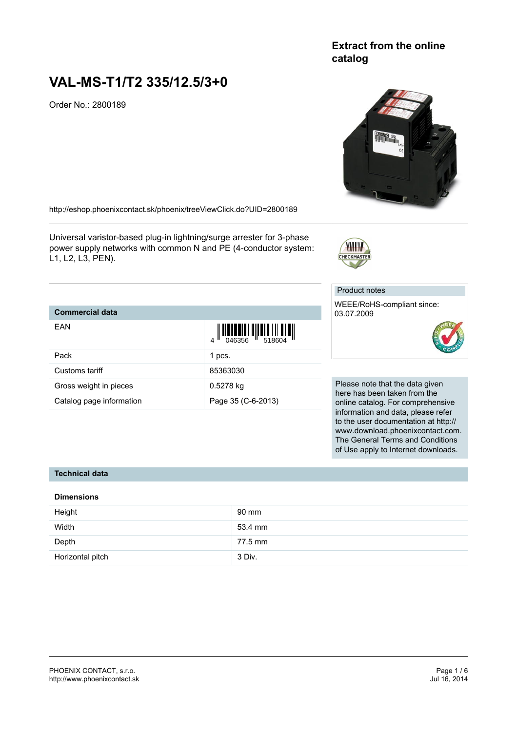# **Extract from the online catalog**

# **VAL-MS-T1/T2 335/12.5/3+0**

Order No.: 2800189



<http://eshop.phoenixcontact.sk/phoenix/treeViewClick.do?UID=2800189>

Universal varistor-based plug-in lightning/surge arrester for 3-phase power supply networks with common N and PE (4-conductor system: L1, L2, L3, PEN).

## **Commercial data**

| EAN                      | $\begin{array}{c} \begin{array}{c} \begin{array}{c} \end{array}\\ \begin{array}{c} \end{array}\\ \begin{array}{c} \end{array}\\ \begin{array}{c} \end{array}\\ \begin{array}{c} \end{array}\\ \begin{array}{c} \end{array}\\ \begin{array}{c} \end{array}\\ \begin{array}{c} \end{array}\\ \begin{array}{c} \end{array}\\ \begin{array}{c} \end{array}\\ \begin{array}{c} \end{array}\\ \begin{array}{c} \end{array}\\ \begin{array}{c} \end{array}\\ \begin{array}{c} \end{array}\\ \begin{array}{c} \end{array}\\ \begin{array}{c} \end{array}\\ \begin{array}{c} \end{array}\\ \begin$ |
|--------------------------|-------------------------------------------------------------------------------------------------------------------------------------------------------------------------------------------------------------------------------------------------------------------------------------------------------------------------------------------------------------------------------------------------------------------------------------------------------------------------------------------------------------------------------------------------------------------------------------------|
| Pack                     | 1 pcs.                                                                                                                                                                                                                                                                                                                                                                                                                                                                                                                                                                                    |
| Customs tariff           | 85363030                                                                                                                                                                                                                                                                                                                                                                                                                                                                                                                                                                                  |
| Gross weight in pieces   | 0.5278 kg                                                                                                                                                                                                                                                                                                                                                                                                                                                                                                                                                                                 |
| Catalog page information | Page 35 (C-6-2013)                                                                                                                                                                                                                                                                                                                                                                                                                                                                                                                                                                        |

Product notes

CHECKMASTER

WEEE/RoHS-compliant since: 03.07.2009



Please note that the data given here has been taken from the online catalog. For comprehensive information and data, please refer to the user documentation at http:// www.download.phoenixcontact.com. The General Terms and Conditions of Use apply to Internet downloads.

#### **Technical data**

#### **Dimensions**

| Height           | 90 mm   |
|------------------|---------|
| Width            | 53.4 mm |
| Depth            | 77.5 mm |
| Horizontal pitch | 3 Div.  |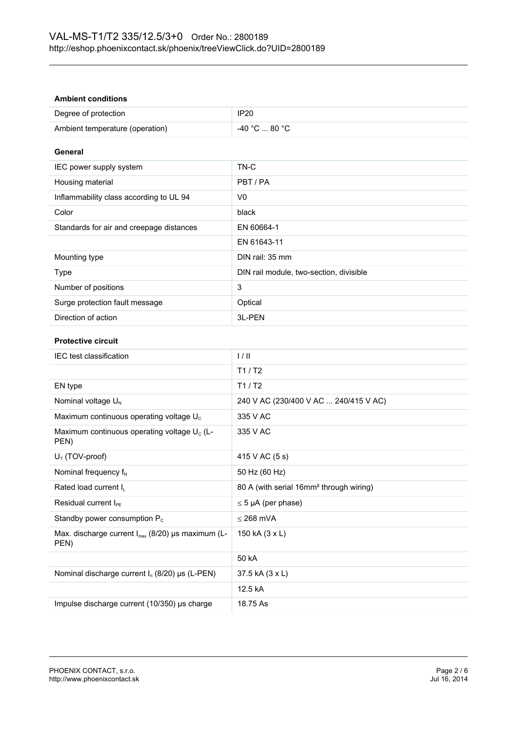| <b>Ambient conditions</b>                                             |                                                     |
|-----------------------------------------------------------------------|-----------------------------------------------------|
| Degree of protection                                                  | <b>IP20</b>                                         |
| Ambient temperature (operation)                                       | -40 °C  80 °C                                       |
| General                                                               |                                                     |
| IEC power supply system                                               | TN-C                                                |
| Housing material                                                      | PBT/PA                                              |
| Inflammability class according to UL 94                               | V <sub>0</sub>                                      |
| Color                                                                 | black                                               |
| Standards for air and creepage distances                              | EN 60664-1                                          |
|                                                                       | EN 61643-11                                         |
| Mounting type                                                         | DIN rail: 35 mm                                     |
| Type                                                                  | DIN rail module, two-section, divisible             |
| Number of positions                                                   | 3                                                   |
| Surge protection fault message                                        | Optical                                             |
| Direction of action                                                   | 3L-PEN                                              |
| <b>Protective circuit</b>                                             |                                                     |
| IEC test classification                                               | 1/11                                                |
|                                                                       | T1/ T2                                              |
| EN type                                                               | T1/ T2                                              |
| Nominal voltage U <sub>N</sub>                                        | 240 V AC (230/400 V AC  240/415 V AC)               |
| Maximum continuous operating voltage U <sub>c</sub>                   | 335 V AC                                            |
| Maximum continuous operating voltage U <sub>c</sub> (L-<br>PEN)       | 335 V AC                                            |
| $U_T$ (TOV-proof)                                                     | 415 V AC (5 s)                                      |
| Nominal frequency f <sub>N</sub>                                      | 50 Hz (60 Hz)                                       |
| Rated load current I <sub>L</sub>                                     | 80 A (with serial 16mm <sup>2</sup> through wiring) |
| Residual current I <sub>PE</sub>                                      | $\leq$ 5 µA (per phase)                             |
| Standby power consumption P <sub>c</sub>                              | $\leq$ 268 mVA                                      |
| Max. discharge current I <sub>max</sub> (8/20) µs maximum (L-<br>PEN) | 150 kA (3 x L)                                      |
|                                                                       | 50 kA                                               |
| Nominal discharge current $I_n$ (8/20) µs (L-PEN)                     | 37.5 kA (3 x L)                                     |
|                                                                       | 12.5 kA                                             |
| Impulse discharge current (10/350) µs charge                          | 18.75 As                                            |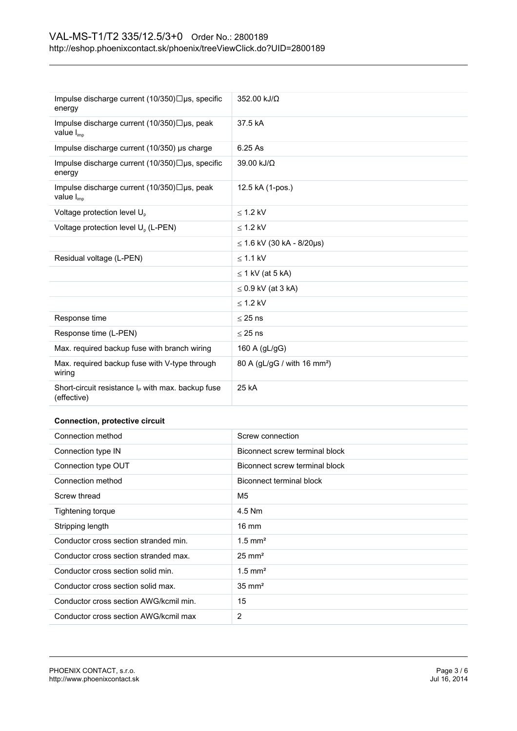| Impulse discharge current $(10/350)\Box$ us, specific<br>energy       | 352.00 kJ/Ω                             |
|-----------------------------------------------------------------------|-----------------------------------------|
| Impulse discharge current (10/350)□µs, peak<br>value $I_{\text{imo}}$ | 37.5 kA                                 |
| Impulse discharge current (10/350) µs charge                          | 6.25 As                                 |
| Impulse discharge current $(10/350)\Box$ us, specific<br>energy       | 39.00 kJ/Ω                              |
| Impulse discharge current (10/350)□µs, peak<br>value $I_{\text{imo}}$ | 12.5 kA (1-pos.)                        |
| Voltage protection level U <sub>p</sub>                               | $<$ 1.2 kV                              |
| Voltage protection level U <sub>p</sub> (L-PEN)                       | $<$ 1.2 kV                              |
|                                                                       | $\leq$ 1.6 kV (30 kA - 8/20µs)          |
| Residual voltage (L-PEN)                                              | $<$ 1.1 kV                              |
|                                                                       | $\leq$ 1 kV (at 5 kA)                   |
|                                                                       | $\leq$ 0.9 kV (at 3 kA)                 |
|                                                                       | $\leq$ 1.2 kV                           |
| Response time                                                         | $\leq$ 25 ns                            |
| Response time (L-PEN)                                                 | $< 25$ ns                               |
| Max. required backup fuse with branch wiring                          | 160 A (gL/gG)                           |
| Max. required backup fuse with V-type through<br>wiring               | 80 A (gL/gG / with 16 mm <sup>2</sup> ) |
| Short-circuit resistance $I_P$ with max. backup fuse<br>(effective)   | 25 kA                                   |
| <b>Connection, protective circuit</b>                                 |                                         |

| Connection method                      | Screw connection               |
|----------------------------------------|--------------------------------|
| Connection type IN                     | Biconnect screw terminal block |
| Connection type OUT                    | Biconnect screw terminal block |
| Connection method                      | Biconnect terminal block       |
| Screw thread                           | M5                             |
| Tightening torque                      | 4.5 Nm                         |
| Stripping length                       | $16 \text{ mm}$                |
| Conductor cross section stranded min.  | $1.5$ mm <sup>2</sup>          |
| Conductor cross section stranded max.  | $25 \text{ mm}^2$              |
| Conductor cross section solid min.     | $1.5$ mm <sup>2</sup>          |
| Conductor cross section solid max.     | $35 \text{ mm}^2$              |
| Conductor cross section AWG/kcmil min. | 15                             |
| Conductor cross section AWG/kcmil max  | $\overline{2}$                 |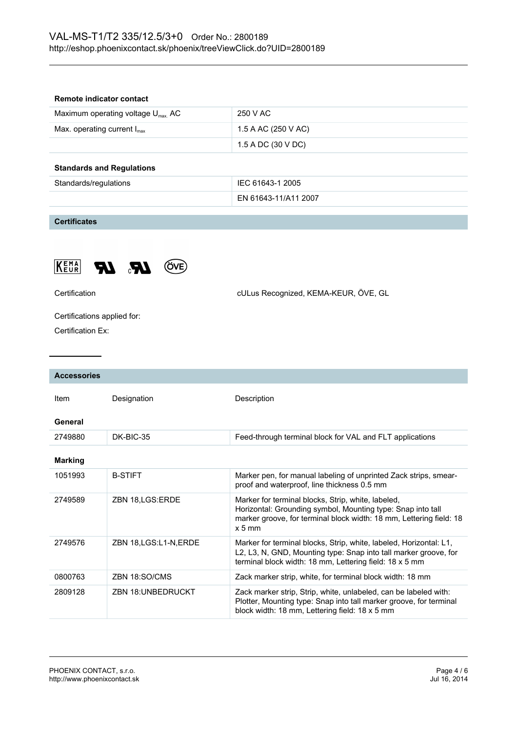| Remote indicator contact                      |                      |
|-----------------------------------------------|----------------------|
| Maximum operating voltage $U_{\text{max}}$ AC | 250 V AC             |
| Max. operating current $I_{\text{max}}$       | 1.5 A AC (250 V AC)  |
|                                               | 1.5 A DC (30 V DC)   |
| <b>Standards and Regulations</b>              |                      |
| Standards/regulations                         | IEC 61643-1 2005     |
|                                               | EN 61643-11/A11 2007 |
|                                               |                      |

**Certificates**



Certification cULus Recognized, KEMA-KEUR, ÖVE, GL

Certifications applied for:

Certification Ex:

| <b>Accessories</b> |                          |                                                                                                                                                                                                      |
|--------------------|--------------------------|------------------------------------------------------------------------------------------------------------------------------------------------------------------------------------------------------|
| Item               | Designation              | Description                                                                                                                                                                                          |
| General            |                          |                                                                                                                                                                                                      |
| 2749880            | DK-BIC-35                | Feed-through terminal block for VAL and FLT applications                                                                                                                                             |
| <b>Marking</b>     |                          |                                                                                                                                                                                                      |
| 1051993            | <b>B-STIFT</b>           | Marker pen, for manual labeling of unprinted Zack strips, smear-<br>proof and waterproof, line thickness 0.5 mm                                                                                      |
| 2749589            | ZBN 18, LGS: ERDE        | Marker for terminal blocks, Strip, white, labeled,<br>Horizontal: Grounding symbol, Mounting type: Snap into tall<br>marker groove, for terminal block width: 18 mm, Lettering field: 18<br>$x 5$ mm |
| 2749576            | ZBN 18, LGS: L1-N, ERDE  | Marker for terminal blocks, Strip, white, labeled, Horizontal: L1,<br>L2, L3, N, GND, Mounting type: Snap into tall marker groove, for<br>terminal block width: 18 mm, Lettering field: 18 x 5 mm    |
| 0800763            | ZBN 18:SO/CMS            | Zack marker strip, white, for terminal block width: 18 mm                                                                                                                                            |
| 2809128            | <b>ZBN 18:UNBEDRUCKT</b> | Zack marker strip, Strip, white, unlabeled, can be labeled with:<br>Plotter, Mounting type: Snap into tall marker groove, for terminal<br>block width: 18 mm, Lettering field: 18 x 5 mm             |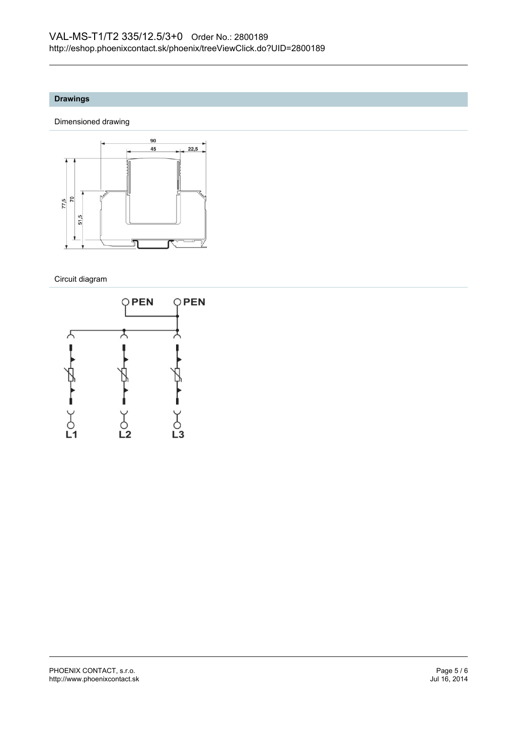# **Drawings**

Dimensioned drawing



Circuit diagram